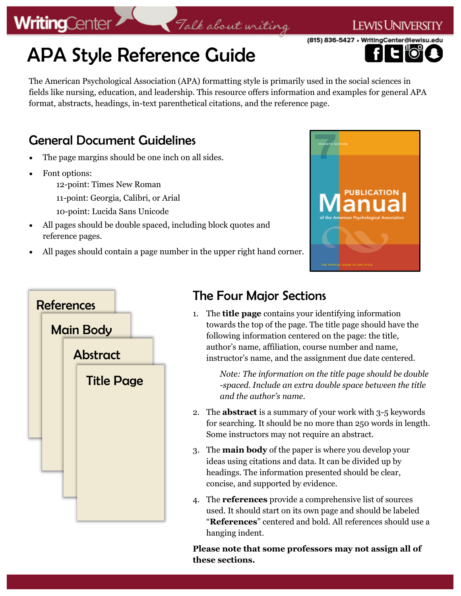### APA Style Reference Guide

The American Psychological Association (APA) formatting style is primarily used in the social sciences in fields like nursing, education, and leadership. This resource offers information and examples for general APA format, abstracts, headings, in-text parenthetical citations, and the reference page.

Talk about writing

### General Document Guidelines

- The page margins should be one inch on all sides.
- Font options:

**WritingCenter** 

12-point: Times New Roman

11-point: Georgia, Calibri, or Arial

- 10-point: Lucida Sans Unicode
- All pages should be double spaced, including block quotes and reference pages.
- All pages should contain a page number in the upper right hand corner.



**LEWIS UNIVERSITY** 

(815) 836-5427 · WritingCenter@lewisu.



### The Four Major Sections

1. The **title page** contains your identifying information towards the top of the page. The title page should have the following information centered on the page: the title, author's name, affiliation, course number and name, instructor's name, and the assignment due date centered.

> *Note: The information on the title page should be double -spaced. Include an extra double space between the title and the author's name.*

- 2. The **abstract** is a summary of your work with 3-5 keywords for searching. It should be no more than 250 words in length. Some instructors may not require an abstract.
- 3. The **main body** of the paper is where you develop your ideas using citations and data. It can be divided up by headings. The information presented should be clear, concise, and supported by evidence.
- 4. The **references** provide a comprehensive list of sources used. It should start on its own page and should be labeled "**References**" centered and bold. All references should use a hanging indent.

**Please note that some professors may not assign all of these sections.**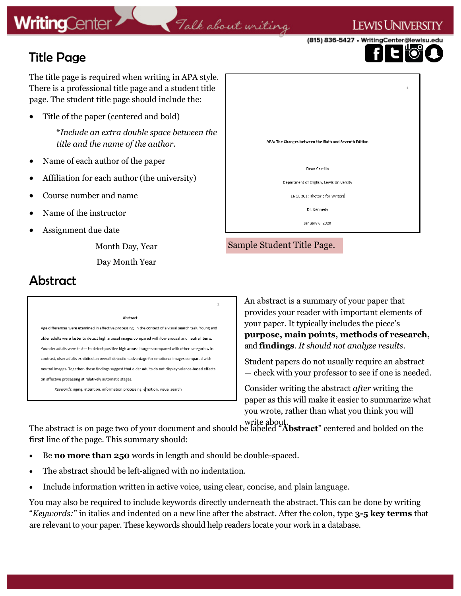Title Page

(815) 836-5427 • WritingCenter@lewisu.

I ewis Universi

The title page is required when writing in APA style. There is a professional title page and a student title page. The student title page should include the:

Title of the paper (centered and bold)

\**Include an extra double space between the title and the name of the author.*

- Name of each author of the paper
- Affiliation for each author (the university)
- Course number and name
- Name of the instructor
- Assignment due date

Month Day, Year Day Month Year

|                                                        | $1\,$ |
|--------------------------------------------------------|-------|
|                                                        |       |
| APA: The Changes between the Sixth and Seventh Edition |       |
| Dean Castillo                                          |       |
| Department of English, Lewis University                |       |
| ENGL 301: Rhetoric for Writers                         |       |
| Dr. Kennedy                                            |       |
| January 6, 2020                                        |       |

#### Sample Student Title Page.

### Abstract

#### Abstract

Age differences were examined in affective processing, in the context of a visual search task. Young and older adults were faster to detect high arousal images compared with low arousal and neutral items. Younder adults were faster to detect positive high arousal targets compared with other categories. In contrast, olser adults exhibited an overall detection advantage for emotional images compared with neutral images. Together, these findings suggest that older adults do not display valence-based effects on affective processing at relatively automatic stages.

Keywords: aging, attention, information processing, emotion, visual search

An abstract is a summary of your paper that provides your reader with important elements of your paper. It typically includes the piece's **purpose, main points, methods of research,**  and **findings**. *It should not analyze results*.

Student papers do not usually require an abstract — check with your professor to see if one is needed.

Consider writing the abstract *after* writing the paper as this will make it easier to summarize what you wrote, rather than what you think you will

write about. The abstract is on page two of your document and should be labeled "**Abstract**" centered and bolded on the first line of the page. This summary should:

 $\overline{2}$ 

Talk about writing

- Be **no more than 250** words in length and should be double-spaced.
- The abstract should be left-aligned with no indentation.
- Include information written in active voice, using clear, concise, and plain language.

You may also be required to include keywords directly underneath the abstract. This can be done by writing "*Keywords:*" in italics and indented on a new line after the abstract. After the colon, type **3-5 key terms** that are relevant to your paper. These keywords should help readers locate your work in a database.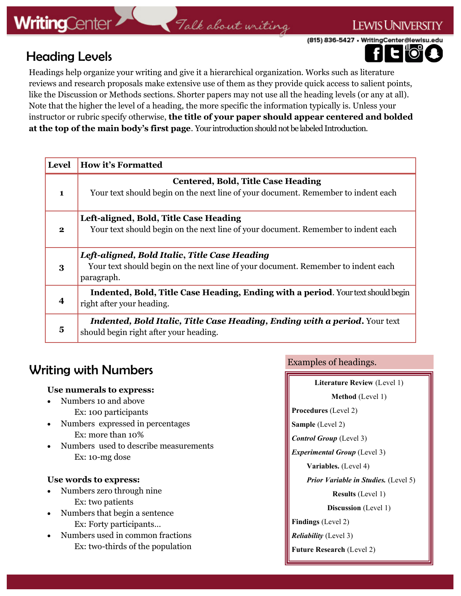### Talk about writing

(815) 836-5427 • WritingCenter@lewisu.edu

### Heading Levels



**LEWIS UNIVERSITY** 

Headings help organize your writing and give it a hierarchical organization. Works such as literature reviews and research proposals make extensive use of them as they provide quick access to salient points, like the Discussion or Methods sections. Shorter papers may not use all the heading levels (or any at all). Note that the higher the level of a heading, the more specific the information typically is. Unless your instructor or rubric specify otherwise, **the title of your paper should appear centered and bolded at the top of the main body's first page**. Your introduction should not be labeled Introduction.

| <b>Level</b> | <b>How it's Formatted</b>                                                                                                                        |  |
|--------------|--------------------------------------------------------------------------------------------------------------------------------------------------|--|
| 1            | <b>Centered, Bold, Title Case Heading</b><br>Your text should begin on the next line of your document. Remember to indent each                   |  |
| $\mathbf{2}$ | Left-aligned, Bold, Title Case Heading<br>Your text should begin on the next line of your document. Remember to indent each                      |  |
| 3            | Left-aligned, Bold Italic, Title Case Heading<br>Your text should begin on the next line of your document. Remember to indent each<br>paragraph. |  |
| 4            | Indented, Bold, Title Case Heading, Ending with a period. Your text should begin<br>right after your heading.                                    |  |
| 5            | <b>Indented, Bold Italic, Title Case Heading, Ending with a period.</b> Your text<br>should begin right after your heading.                      |  |

### Writing with Numbers

#### **Use numerals to express:**

- Numbers 10 and above Ex: 100 participants
- Numbers expressed in percentages Ex: more than 10%
- Numbers used to describe measurements Ex: 10-mg dose

#### **Use words to express:**

- Numbers zero through nine Ex: two patients
- Numbers that begin a sentence Ex: Forty participants…
- Numbers used in common fractions Ex: two-thirds of the population

Examples of headings.

| Literature Review (Level 1)                 |  |
|---------------------------------------------|--|
| <b>Method</b> (Level 1)                     |  |
| <b>Procedures</b> (Level 2)                 |  |
| <b>Sample</b> (Level 2)                     |  |
| <b>Control Group</b> (Level 3)              |  |
| <i>Experimental Group</i> (Level 3)         |  |
| <b>Variables.</b> (Level 4)                 |  |
| <b>Prior Variable in Studies.</b> (Level 5) |  |
| <b>Results</b> (Level 1)                    |  |
| <b>Discussion</b> (Level 1)                 |  |
| <b>Findings</b> (Level 2)                   |  |
| <i>Reliability</i> (Level 3)                |  |
| <b>Future Research</b> (Level 2)            |  |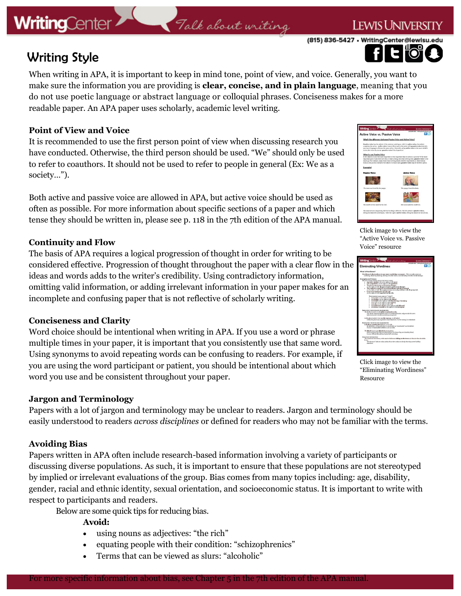### Talk about writing

(815) 836-5427 • WritingCenter@lewisu.

I ewis Univers

### Writing Style

When writing in APA, it is important to keep in mind tone, point of view, and voice. Generally, you want to make sure the information you are providing is **clear, concise, and in plain language**, meaning that you do not use poetic language or abstract language or colloquial phrases. Conciseness makes for a more readable paper. An APA paper uses scholarly, academic level writing.

#### **Point of View and Voice**

It is recommended to use the first person point of view when discussing research you have conducted. Otherwise, the third person should be used. "We" should only be used to refer to coauthors. It should not be used to refer to people in general (Ex: We as a society…").

Both active and passive voice are allowed in APA, but active voice should be used as often as possible. For more information about specific sections of a paper and which tense they should be written in, please see p. 118 in the 7th edition of the APA manual.

#### **Continuity and Flow**

The basis of APA requires a logical progression of thought in order for writing to be considered effective. Progression of thought throughout the paper with a clear flow in the ideas and words adds to the writer's credibility. Using contradictory information, omitting valid information, or adding irrelevant information in your paper makes for an incomplete and confusing paper that is not reflective of scholarly writing.

#### **Conciseness and Clarity**

Word choice should be intentional when writing in APA. If you use a word or phrase multiple times in your paper, it is important that you consistently use that same word. Using synonyms to avoid repeating words can be confusing to readers. For example, if you are using the word participant or patient, you should be intentional about which word you use and be consistent throughout your paper.

#### **Jargon and Terminology**

Papers with a lot of jargon and terminology may be unclear to readers. Jargon and terminology should be easily understood to readers *across disciplines* or defined for readers who may not be familiar with the terms.

#### **Avoiding Bias**

Papers written in APA often include research-based information involving a variety of participants or discussing diverse populations. As such, it is important to ensure that these populations are not stereotyped by implied or irrelevant evaluations of the group. Bias comes from many topics including: age, disability, gender, racial and ethnic identity, sexual orientation, and socioeconomic status. It is important to write with respect to participants and readers.

Below are some quick tips for reducing bias.

**Avoid:**

- using nouns as adjectives: "the rich"
- equating people with their condition: "schizophrenics"
- Terms that can be viewed as slurs: "alcoholic"



Click image to view the "Active Voice vs. Passive Voice" resource



Click image to view the "Eliminating Wordiness" Resource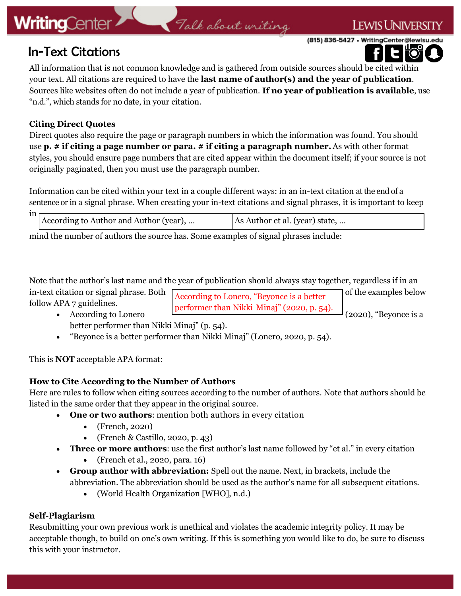### **LEWIS UNIVERSITY**

(815) 836-5427 • WritingCenter@lewisu.edu

### In-Text Citations

All information that is not common knowledge and is gathered from outside sources should be cited within your text. All citations are required to have the **last name of author(s) and the year of publication**. Sources like websites often do not include a year of publication. **If no year of publication is available**, use "n.d.", which stands for no date, in your citation.

Talk about writing

#### **Citing Direct Quotes**

Direct quotes also require the page or paragraph numbers in which the information was found. You should use **p. # if citing a page number or para. # if citing a paragraph number.** As with other format styles, you should ensure page numbers that are cited appear within the document itself; if your source is not originally paginated, then you must use the paragraph number.

Information can be cited within your text in a couple different ways: in an in-text citation at the end of a sentence or in a signal phrase. When creating your in-text citations and signal phrases, it is important to keep

| m |                                        |                                |  |  |
|---|----------------------------------------|--------------------------------|--|--|
|   |                                        |                                |  |  |
|   | According to Author and Author (year), | As Author et al. (year) state, |  |  |
|   |                                        |                                |  |  |
|   |                                        |                                |  |  |

mind the number of authors the source has. Some examples of signal phrases include:

Note that the author's last name and the year of publication should always stay together, regardless if in an in-text citation or signal phrase. Both  $\sqrt{1 + \frac{1}{2}}$  or  $\sqrt{2}$  (i.e.  $\sqrt{2}$  of the examples below follow APA 7 guidelines. According to Lonero, "Beyonce is a better performer than Nikki Minaj" (2020, p. 54).

- According to Lonero  $\mathbb{R}^{\text{SVDMSE}}$  (2020), "Beyonce is a better performer than Nikki Minaj" (p. 54).
- "Beyonce is a better performer than Nikki Minaj" (Lonero, 2020, p. 54).

This is **NOT** acceptable APA format:

#### **How to Cite According to the Number of Authors**

Here are rules to follow when citing sources according to the number of authors. Note that authors should be listed in the same order that they appear in the original source.

- **One or two authors**: mention both authors in every citation
	- (French, 2020)
	- (French & Castillo, 2020, p. 43)
- **Three or more authors**: use the first author's last name followed by "et al." in every citation
	- (French et al., 2020, para. 16)
- **Group author with abbreviation:** Spell out the name. Next, in brackets, include the abbreviation. The abbreviation should be used as the author's name for all subsequent citations.
	- (World Health Organization [WHO], n.d.)

#### **Self-Plagiarism**

Resubmitting your own previous work is unethical and violates the academic integrity policy. It may be acceptable though, to build on one's own writing. If this is something you would like to do, be sure to discuss this with your instructor.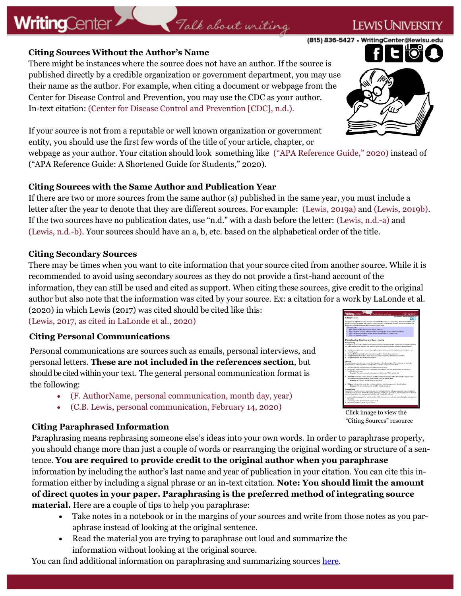#### **Citing Sources Without the Author's Name**

**WritingCenter** 

There might be instances where the source does not have an author. If the source is published directly by a credible organization or government department, you may use their name as the author. For example, when citing a document or webpage from the Center for Disease Control and Prevention, you may use the CDC as your author. In-text citation: (Center for Disease Control and Prevention [CDC], n.d.).

If your source is not from a reputable or well known organization or government entity, you should use the first few words of the title of your article, chapter, or

webpage as your author. Your citation should look something like ("APA Reference Guide," 2020) instead of ("APA Reference Guide: A Shortened Guide for Students," 2020).

Talk about writing

#### **Citing Sources with the Same Author and Publication Year**

If there are two or more sources from the same author (s) published in the same year, you must include a letter after the year to denote that they are different sources. For example: (Lewis, 2019a) and (Lewis, 2019b). If the two sources have no publication dates, use "n.d." with a dash before the letter: (Lewis, n.d.-a) and (Lewis, n.d.-b). Your sources should have an a, b, etc. based on the alphabetical order of the title.

#### **Citing Secondary Sources**

There may be times when you want to cite information that your source cited from another source. While it is recommended to avoid using secondary sources as they do not provide a first-hand account of the information, they can still be used and cited as support. When citing these sources, give credit to the original author but also note that the information was cited by your source. Ex: a citation for a work by LaLonde et al.

(2020) in which Lewis (2017) was cited should be cited like this: (Lewis, 2017, as cited in LaLonde et al., 2020)

#### **Citing Personal Communications**

Personal communications are sources such as emails, personal interviews, and personal letters. **These are not included in the references section**, but should be cited within your text. The general personal communication format is the following:

- (F. AuthorName, personal communication, month day, year)
- (C.B. Lewis, personal communication, February 14, 2020)

#### **Citing Paraphrased Information**

Paraphrasing means rephrasing someone else's ideas into your own words. In order to paraphrase properly, you should change more than just a couple of words or rearranging the original wording or structure of a sentence. **You are required to provide credit to the original author when you paraphrase**  information by including the author's last name and year of publication in your citation. You can cite this information either by including a signal phrase or an in-text citation. **Note: You should limit the amount of direct quotes in your paper. Paraphrasing is the preferred method of integrating source** 

**material.** Here are a couple of tips to help you paraphrase:

- Take notes in a notebook or in the margins of your sources and write from those notes as you paraphrase instead of looking at the original sentence.
- Read the material you are trying to paraphrase out loud and summarize the information without looking at the original source.

You can find additional information on paraphrasing and summarizing sources [here.](https://lewisuwritingcenter.wordpress.com/reference-guides/)

Click image to view the

"Citing Sources" resource





### I ewist Inivers

(815) 836-5427 • WritingCenter@lewisu.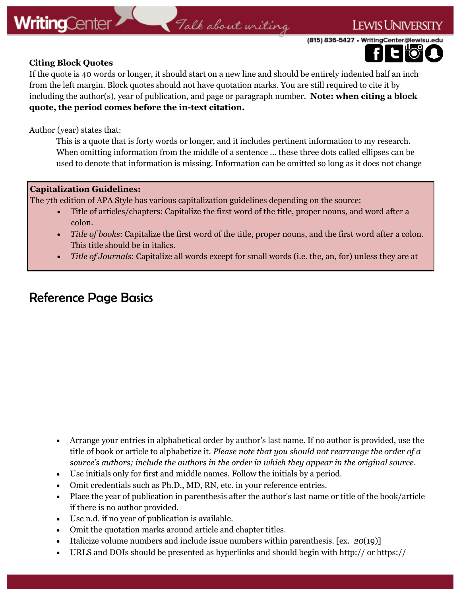### Talk about writing

(815) 836-5427 · WritingCenter@lewisu.



**LEWIS UNIVERSITY** 

#### **Citing Block Quotes**

If the quote is 40 words or longer, it should start on a new line and should be entirely indented half an inch from the left margin. Block quotes should not have quotation marks. You are still required to cite it by including the author(s), year of publication, and page or paragraph number. **Note: when citing a block quote, the period comes before the in-text citation.**

Author (year) states that:

This is a quote that is forty words or longer, and it includes pertinent information to my research. When omitting information from the middle of a sentence … these three dots called ellipses can be used to denote that information is missing. Information can be omitted so long as it does not change

#### **Capitalization Guidelines:**

The 7th edition of APA Style has various capitalization guidelines depending on the source:

- Title of articles/chapters: Capitalize the first word of the title, proper nouns, and word after a colon.
- *Title of books*: Capitalize the first word of the title, proper nouns, and the first word after a colon. This title should be in italics.
- *Title of Journals*: Capitalize all words except for small words (i.e. the, an, for) unless they are at

### Reference Page Basics

- Arrange your entries in alphabetical order by author's last name. If no author is provided, use the title of book or article to alphabetize it. *Please note that you should not rearrange the order of a source's authors; include the authors in the order in which they appear in the original source*.
- Use initials only for first and middle names. Follow the initials by a period.
- Omit credentials such as Ph.D., MD, RN, etc. in your reference entries.
- Place the year of publication in parenthesis after the author's last name or title of the book/article if there is no author provided.
- Use n.d. if no year of publication is available.
- Omit the quotation marks around article and chapter titles.
- Italicize volume numbers and include issue numbers within parenthesis. [ex. *20*(19)]
- URLS and DOIs should be presented as hyperlinks and should begin with http:// or https://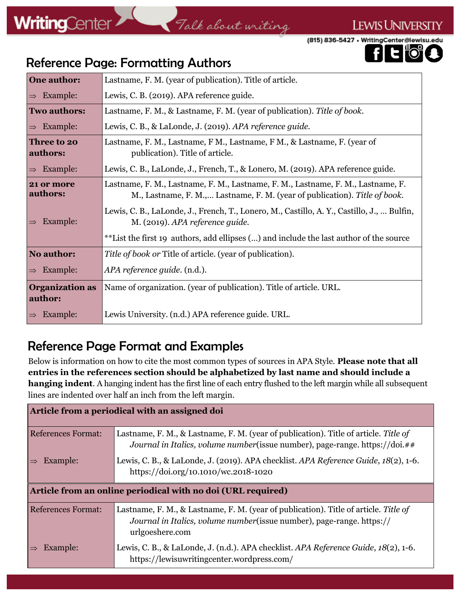### Talk about writing

(815) 836-5427 • WritingCenter@lewisu.edu



**LEWIS UNIVERSITY** 

### Reference Page: Formatting Authors

| <b>One author:</b>                | Lastname, F. M. (year of publication). Title of article.                                                                                                       |  |
|-----------------------------------|----------------------------------------------------------------------------------------------------------------------------------------------------------------|--|
| Example:<br>$\Rightarrow$         | Lewis, C. B. (2019). APA reference guide.                                                                                                                      |  |
| <b>Two authors:</b>               | Lastname, F. M., & Lastname, F. M. (year of publication). Title of book.                                                                                       |  |
| Example:<br>$\Rightarrow$         | Lewis, C. B., & LaLonde, J. (2019). APA reference guide.                                                                                                       |  |
| Three to 20<br>authors:           | Lastname, F. M., Lastname, F. M., Lastname, F. M., & Lastname, F. (year of<br>publication). Title of article.                                                  |  |
| Example:                          | Lewis, C. B., LaLonde, J., French, T., & Lonero, M. (2019). APA reference guide.                                                                               |  |
| 21 or more<br>authors:            | Lastname, F. M., Lastname, F. M., Lastname, F. M., Lastname, F. M., Lastname, F.<br>M., Lastname, F. M., Lastname, F. M. (year of publication). Title of book. |  |
| Example:                          | Lewis, C. B., LaLonde, J., French, T., Lonero, M., Castillo, A. Y., Castillo, J.,  Bulfin,<br>M. (2019). APA reference guide.                                  |  |
|                                   | **List the first 19 authors, add ellipses () and include the last author of the source                                                                         |  |
| No author:                        | Title of book or Title of article. (year of publication).                                                                                                      |  |
| Example:<br>$\Rightarrow$         | <i>APA reference guide.</i> (n.d.).                                                                                                                            |  |
| <b>Organization as</b><br>author: | Name of organization. (year of publication). Title of article. URL.                                                                                            |  |
| Example:                          | Lewis University. (n.d.) APA reference guide. URL.                                                                                                             |  |

### Reference Page Format and Examples

Below is information on how to cite the most common types of sources in APA Style. **Please note that all entries in the references section should be alphabetized by last name and should include a hanging indent**. A hanging indent has the first line of each entry flushed to the left margin while all subsequent lines are indented over half an inch from the left margin.

| Article from a periodical with an assigned doi               |                                                                                                                                                                                   |  |
|--------------------------------------------------------------|-----------------------------------------------------------------------------------------------------------------------------------------------------------------------------------|--|
| <b>References Format:</b>                                    | Lastname, F. M., & Lastname, F. M. (year of publication). Title of article. Title of<br>Journal in Italics, volume number (issue number), page-range. https://doi.##              |  |
| Example:                                                     | Lewis, C. B., & LaLonde, J. (2019). APA checklist. APA Reference Guide, 18(2), 1-6.<br>https://doi.org/10.1010/wc.2018-1020                                                       |  |
| Article from an online periodical with no doi (URL required) |                                                                                                                                                                                   |  |
| <b>References Format:</b>                                    | Lastname, F. M., & Lastname, F. M. (year of publication). Title of article. Title of<br>Journal in Italics, volume number (issue number), page-range. https://<br>urlgoeshere.com |  |
| Example:                                                     | Lewis, C. B., & LaLonde, J. (n.d.). APA checklist. APA Reference Guide, 18(2), 1-6.<br>https://lewisuwritingcenter.wordpress.com/                                                 |  |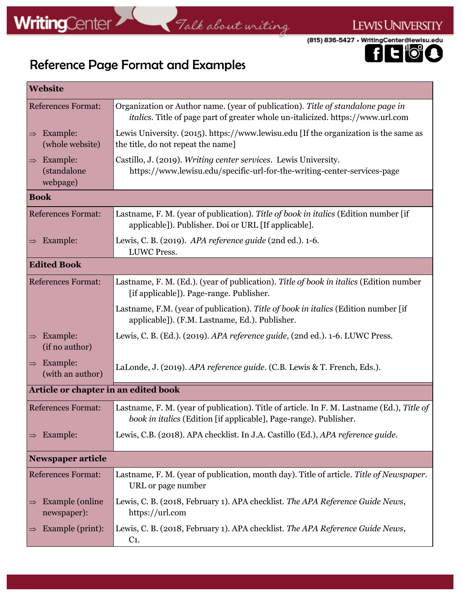## Talk about writing



LEWIS UNIVERSITY

### Reference Page Format and Examples

| <b>Website</b>                                       |                                                                                                                                                                            |  |
|------------------------------------------------------|----------------------------------------------------------------------------------------------------------------------------------------------------------------------------|--|
| <b>References Format:</b>                            | Organization or Author name. (year of publication). Title of standalone page in<br><i>italics</i> . Title of page part of greater whole un-italicized. https://www.url.com |  |
| Example:<br>$\Rightarrow$<br>(whole website)         | Lewis University. (2015). https://www.lewisu.edu [If the organization is the same as<br>the title, do not repeat the name]                                                 |  |
| Example:<br>$\Rightarrow$<br>(standalone<br>webpage) | Castillo, J. (2019). Writing center services. Lewis University.<br>https://www.lewisu.edu/specific-url-for-the-writing-center-services-page                                |  |
| <b>Book</b>                                          |                                                                                                                                                                            |  |
| <b>References Format:</b>                            | Lastname, F. M. (year of publication). Title of book in italics (Edition number [if<br>applicable]). Publisher. Doi or URL [If applicable].                                |  |
| Example:<br>$\Rightarrow$                            | Lewis, C. B. (2019). APA reference guide (2nd ed.). 1-6.<br><b>LUWC Press.</b>                                                                                             |  |
| <b>Edited Book</b>                                   |                                                                                                                                                                            |  |
| <b>References Format:</b>                            | Lastname, F. M. (Ed.). (year of publication). Title of book in italics (Edition number<br>[if applicable]). Page-range. Publisher.                                         |  |
|                                                      | Lastname, F.M. (year of publication). Title of book in italics (Edition number [if<br>applicable]). (F.M. Lastname, Ed.). Publisher.                                       |  |
| Example:<br>$\Rightarrow$<br>(if no author)          | Lewis, C. B. (Ed.). (2019). APA reference guide, (2nd ed.). 1-6. LUWC Press.                                                                                               |  |
| Example:<br>$\Rightarrow$<br>(with an author)        | LaLonde, J. (2019). APA reference guide. (C.B. Lewis & T. French, Eds.).                                                                                                   |  |
| Article or chapter in an edited book                 |                                                                                                                                                                            |  |
| <b>References Format:</b>                            | Lastname, F. M. (year of publication). Title of article. In F. M. Lastname (Ed.), Title of<br>book in italics (Edition [if applicable], Page-range). Publisher.            |  |
| Example:<br>$\Rightarrow$                            | Lewis, C.B. (2018). APA checklist. In J.A. Castillo (Ed.), APA reference guide.                                                                                            |  |
| <b>Newspaper article</b>                             |                                                                                                                                                                            |  |
| <b>References Format:</b>                            | Lastname, F. M. (year of publication, month day). Title of article. Title of Newspaper.<br>URL or page number                                                              |  |
| Example (online)<br>$\Rightarrow$<br>newspaper):     | Lewis, C. B. (2018, February 1). APA checklist. The APA Reference Guide News,<br>https://url.com                                                                           |  |
| Example (print):<br>$\Rightarrow$                    | Lewis, C. B. (2018, February 1). APA checklist. The APA Reference Guide News,<br>$C1$ .                                                                                    |  |